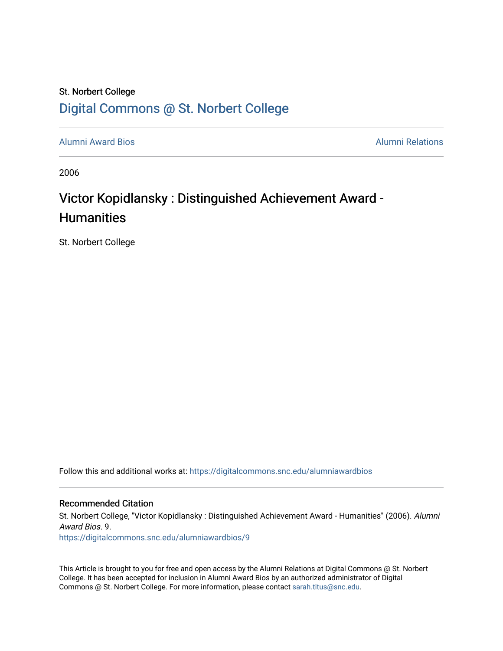### St. Norbert College [Digital Commons @ St. Norbert College](https://digitalcommons.snc.edu/)

[Alumni Award Bios](https://digitalcommons.snc.edu/alumniawardbios) [Alumni Relations](https://digitalcommons.snc.edu/alumni) 

2006

## Victor Kopidlansky : Distinguished Achievement Award -**Humanities**

St. Norbert College

Follow this and additional works at: [https://digitalcommons.snc.edu/alumniawardbios](https://digitalcommons.snc.edu/alumniawardbios?utm_source=digitalcommons.snc.edu%2Falumniawardbios%2F9&utm_medium=PDF&utm_campaign=PDFCoverPages)

#### Recommended Citation

St. Norbert College, "Victor Kopidlansky : Distinguished Achievement Award - Humanities" (2006). Alumni Award Bios. 9.

[https://digitalcommons.snc.edu/alumniawardbios/9](https://digitalcommons.snc.edu/alumniawardbios/9?utm_source=digitalcommons.snc.edu%2Falumniawardbios%2F9&utm_medium=PDF&utm_campaign=PDFCoverPages)

This Article is brought to you for free and open access by the Alumni Relations at Digital Commons @ St. Norbert College. It has been accepted for inclusion in Alumni Award Bios by an authorized administrator of Digital Commons @ St. Norbert College. For more information, please contact [sarah.titus@snc.edu.](mailto:sarah.titus@snc.edu)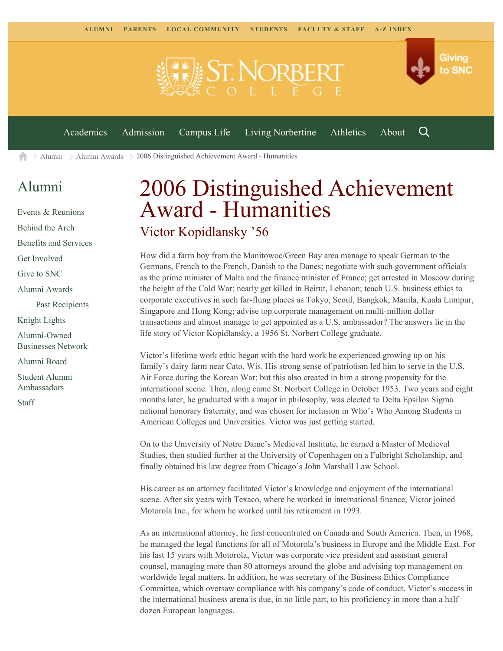

 $\geq$  [Alumni](https://www.snc.edu/alumni/)  $\geq$  [Alumni Awards](https://www.snc.edu/alumni/awards/)  $\geq$  2006 Distinguished Achievement Award - Humanities A

### [Alumni](https://www.snc.edu/alumni/index.html)

[Events & Reunions](https://www.snc.edu/alumni/event/index.html) [Behind the Arch](https://www.snc.edu/alumni/event/behindthearch/) [Benefits and Services](https://www.snc.edu/alumni/benefits.html) [Get Involved](https://www.snc.edu/alumni/getinvolved.html) [Give to SNC](http://giving.snc.edu/) [Alumni Awards](https://www.snc.edu/alumni/awards/index.html) [Past Recipients](https://www.snc.edu/alumni/awards/recipients.html) [Knight Lights](https://www.snc.edu/alumni/knightlights/index.html) [Alumni-Owned](https://www.snc.edu/alumni/directory/index.html) [Businesses Network](https://www.snc.edu/alumni/directory/index.html) [Alumni Board](https://www.snc.edu/alumni/alumniboard.html) [Student Alumni](https://www.snc.edu/alumni/saa.html) [Ambassadors](https://www.snc.edu/alumni/saa.html) [Staff](https://www.snc.edu/alumni/contactus.html)

# 2006 Distinguished Achievement Award - Humanities Victor Kopidlansky '56

How did a farm boy from the Manitowoc/Green Bay area manage to speak German to the Germans, French to the French, Danish to the Danes; negotiate with such government officials as the prime minister of Malta and the finance minister of France; get arrested in Moscow during the height of the Cold War; nearly get killed in Beirut, Lebanon; teach U.S. business ethics to corporate executives in such far-flung places as Tokyo, Seoul, Bangkok, Manila, Kuala Lumpur, Singapore and Hong Kong; advise top corporate management on multi-million dollar transactions and almost manage to get appointed as a U.S. ambassador? The answers lie in the life story of Victor Kopidlansky, a 1956 St. Norbert College graduate.

Victor's lifetime work ethic began with the hard work he experienced growing up on his family's dairy farm near Cato, Wis. His strong sense of patriotism led him to serve in the U.S. Air Force during the Korean War; but this also created in him a strong propensity for the international scene. Then, along came St. Norbert College in October 1953. Two years and eight months later, he graduated with a major in philosophy, was elected to Delta Epsilon Sigma national honorary fraternity, and was chosen for inclusion in Who's Who Among Students in American Colleges and Universities. Victor was just getting started.

On to the University of Notre Dame's Medieval Institute, he earned a Master of Medieval Studies, then studied further at the University of Copenhagen on a Fulbright Scholarship, and finally obtained his law degree from Chicago's John Marshall Law School.

His career as an attorney facilitated Victor's knowledge and enjoyment of the international scene. After six years with Texaco, where he worked in international finance, Victor joined Motorola Inc., for whom he worked until his retirement in 1993.

As an international attorney, he first concentrated on Canada and South America. Then, in 1968, he managed the legal functions for all of Motorola's business in Europe and the Middle East. For his last 15 years with Motorola, Victor was corporate vice president and assistant general counsel, managing more than 80 attorneys around the globe and advising top management on worldwide legal matters. In addition, he was secretary of the Business Ethics Compliance Committee, which oversaw compliance with his company's code of conduct. Victor's success in the international business arena is due, in no little part, to his proficiency in more than a half dozen European languages.